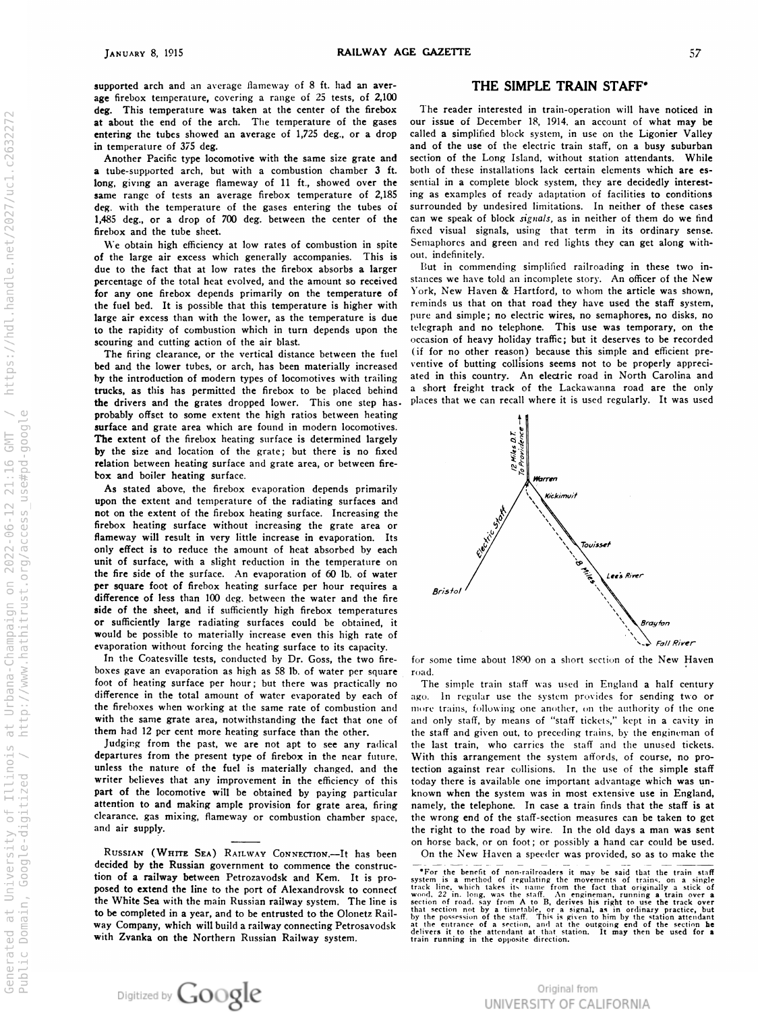https://hdl.handle.net/2027/uc1.c2632272

http://www.hathitrust.org/access use#pd-google

Generated at University of Illinois at Urbana-Champaign on 2022-06-12 21:16 GMT<br>Public Domain, Google-digitized / http://www.hathitrust.org/access use#pd-goog

supported arch and an average hameway of 8 ft. had an age firebox temperature, covering a range of 25 tests, of 2,100 deg. This temperature was taken at the center of at about the end of the arch . The temperature of the gases our issue entering the tubes showed an average of 1,725 deg., or a in temperature of 375 deg .

Another Pacific type locomotive with the same size grate and **a** tube-supported arch, but with a combustion chamber **3** it. long, giving an average flameway of 11 ft., showed over the sential same range of tests an average firebox temperature of 2,185 ing deg, with the temperature of the gases entering the tubes of 1,485 deg., or a drop of 700 deg. between the center of the can firebox and the tube sheet.

We obtain high efficiency at low rates of combustion in of the large air excess which generally accompanies . This is due to the fact that at low rates the firebox absorbs a larger  $\Box$ percentage of the total heat evolved, and the amount so received stance or any one firebox depends primarily on the temperature of the fuel bed. It is possible that this temperature is higher with  $\frac{1}{2}$  reminds large air excess than with the lower, as the temperature is o the rapidity of combustion which in turn depends upon the  $\frac{1}{2}$  telegraph and scouring and cutting action of the air blast.

The firing clearance, or the vertical distance between the fuel  $\lambda$ bed and the lower tubes, or arch, has been materially increased ventive y the introduction of modern types of locomotives with trailing ated trucks, as this has permitted the firebox to be placed behind  $\alpha$ the drivers and the grates dropped lower. This one step has. probably offset to some extent the high ratios between heating surface and grate area which are found in modern locomotives. The extent of the firebox heating surface is determined largely y the size and location of the grate; but there is no fixed relation between heating surface and grate area, or between firebox and boiler heating surface.

As stated above, the firebox evaporation depends primarily  $\bigwedge_{k \in k}$  Kickimuit upon the extent and temperature of the radiating surfaces and not on the extent of the hrebox heating surface. Increasing the firebox heating surface without increasing the grate area or flameway will result in very little increase in evaporation . Its only effect is to reduce the amount of heat absorbed by each  $\sqrt{\frac{6}{5}}$ unit of surface, with a slight reduction in the temperature on the fire side of the surface. An evaporation of 60 lb. of per square foot of firebox heating surface per hour requires a difference of less than 100 deg . between the water and the fire side of the sheet, and if sufficiently high firebox temperatures **r** sufficiently large radiating surfaces could be obtained, it would be possible to materially increase even this high rate of

In the Coatesville tests, conducted by Dr. Goss, boxes gave an evaporation as high as 58 lb. of water per square road. toot of heating surface per hour; but there was practically no difference in the total amount of water evaporated by each of the fireboxes when working at the same rate of combustion and more trains, with the same grate area, notwithstanding the fact that one of them had 12 per cent more heating surface than the other.

Judging from the past, we are not apt to departures from the present type of firebox in the near future, unless the nature of the fuel is materially changed, writer believes that any improvement in the efficiency of part of the locomotive will be obtained by attention to and making ample provision for grate area, clearance, gas mixing, flameway or combustion chamber space, and air supply.

RUSSIAN (WHITE SEA) KAILWAY CONNECTION.—It decided by the Russian government to decided by the Russian government to commence the construc-<br>
For the benefit of non-railroaders it may be said that the train staff<br>
it is pro-<br>
system is a method of regulating the movements of trains, on a single a railway between Petrozavodsk and Kem. It is posed to extend the line to the port of Alexandrovsk to the White Sea with the main Russian railway system. The line is to be completed in a year, and to be entrusted to the Olonetz Rail-  $\frac{\text{that section not}}{\text{by the possession}}$ way Company, which will build a railway connecting Petrosavods with Zvanka on the Northern Russian Railway system .

## THE SIMPLE TRAIN STAFF\*

the firebox The reader interested in train-operation will have noticed in of December 18, 1914 , an account of what may be drop called a simplified block system, in use on the Ligonier Valley and of the use of the electric train staff, on a busy suburbar of the Long Island, without station attendants. While both of these installations lack certain elements which are esin a complete block system, they are decidedly interest s examples of ready adaptation of facilities to condition surrounded by undesired limitations. In neither of these case e speak of block *signals*, as in neither of them do we find hxed visual signals, using that term in its ordinary sense. Semaphores and green and red lights they can get along without, indefinitely.

in commending simplified railroading in these two in e have told an incomplete story. An officer of the New Fork, ivew Haven  $\alpha$  Hartford, to whom the article was shown, is that on that road they have used the staff system, due pure and simple; no electric wires, no semaphores, no disks, no o telephone. This use was temporary, on the occasion of heavy holiday traffic ; but it deserves to be recorded if for no other reason) because this simple and efficient preof butting collisions seems not to be properly appreci in this country . An electric road in North Carolina and short freight track of the Lackawanna road are the only places that we can recall where it is used regularly . It was used



the two fire- for some time about 1890 on a short section of the New Haven

The simple train staff was used in England **a** half century ago. In regular use the system provides for sending two or following one another, on the authority of the one and only staff, by means of "staff tickets," kept in a cavity in the staff and given out, to preceding trains, by the engineman of see any radical the last train, who carries the staff and the unused tickets. With this arrangement the system affords, of course, no proand the fection against rear collisions. In the use of the simple staff this today there is available one important advantage which was un paying particular known when the system was in most extensive use in England, firing mamely, the telephone. In case a train finds that the staff is at the wrong end of the staff-section measures can be taken to get o the road by wire. In the old days a man was sent n horse back, or on toot; or possibly a hand car could be used. has been Un the New Haven a speeder was provided, so as to make the sing the the free states of the state in the consistent in the formulation of the state of two states of the state of the state of the first state of the state of the state of the state of the state of the state of the st